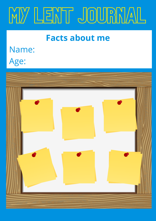

#### **Facts about me**

### Name:

Age:

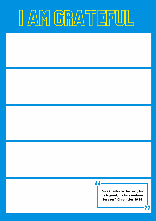## I AM GRATEFUL

#### 77

**Give thanks to the Lord, for he is good; his love endures forever" Chronicles 16:34**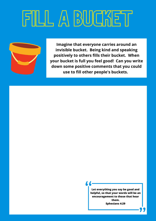# FILL A BUCKET



**Imagine that everyone carries around an invisible bucket. Being kind and speaking positively to others fills their bucket. When your bucket is full you feel good! Can you write down some positive comments that you could use to fill other people's buckets.** 

> **Let everything you say be good and helpful, so that your words will be an encouragement to those that hear them. Ephesians 4:29**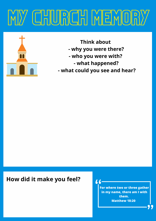### MY CHURCH MEMORY



**Think about - why you were there? - who you were with? - what happened? - what could you see and hear?**

#### **How did it make you feel?**

**For where two or three gather in my name, there am I with them. Matthew 18:20**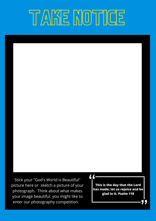### TAKE NOTICE

Stick your "God's World is Beautiful" picture here or sketch a picture of your photograph. Think about what makes your image beautiful. you might like to enter our photography competition.

#### 66

**This is the day that the Lord has made; let us rejoice and be glad in it. Psalm 118**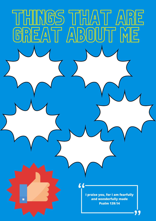

THINGS THAT ARE

GREAT ABOUT ME